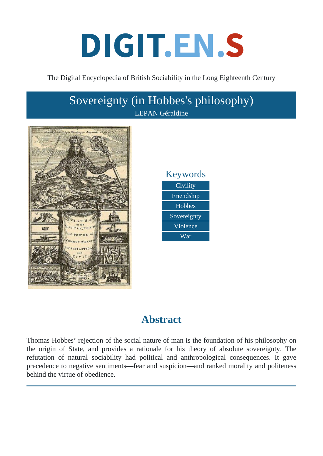# DIGIT.EN.S

#### The Digital Encyclopedia of British Sociability in the Long Eighteenth Century

## Sovereignty (in Hobbes's philosophy) LEPAN Géraldine





## **Abstract**

Thomas Hobbes' rejection of the social nature of man is the foundation of his philosophy on the origin of State, and provides a rationale for his theory of absolute sovereignty. The refutation of natural sociability had political and anthropological consequences. It gave precedence to negative sentiments—fear and suspicion—and ranked morality and politeness behind the virtue of obedience.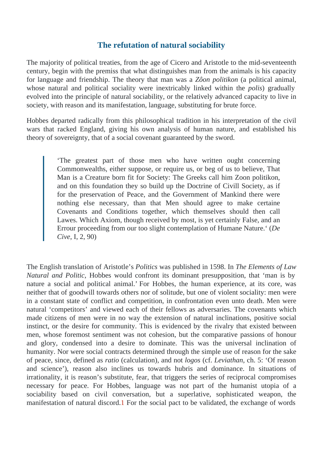#### The refutation of natural sociability

The majority of political treaties, from the age of Cicero and Aristotle to the mid-seventeenth century, begin with the premiss that what distinguishes man from the animals is his capacity for language and friendship. The theory that man  $w\vec{a}$   $\hat{\bm{\alpha}}$  politikon (a political animal, whose natural and political sociality were inextricably linked within plotis) gradually evolved into the principle of natural sociability, or the relatively advanced capacity to live in society, with reason and its manifestation, language, substituting for brute force.

Hobbes departed radically from this philosophical tradition in his interpretation of the civil wars that racked England, giving his own analysis of human nature, and established his theory of sovereignty, that of a social covenant guaranteed by the sword.

> 'The greatest part of those men who have written ought concerning Commonwealths, either suppose, or require us, or beg of us to believe, That Man is a Creature born fit for Society: The Greeks call him Zoon politikon, and on this foundation they so build up the Doctrine of Civill Society, as if for the preservation of Peace, and the Government of Mankind there were nothing else necessary, than that Men should agree to make certaine Covenants and Conditions together, which themselves should then call Lawes. Which Axiom, though received by most, is yet certainly False, and an Errour proceeding from our too slight contemplation of Humane Natude.' ( Cive, I, 2, 90)

The English translation of Aristotle Bolitics was published in 1598. In The Elements of Law Natural and Politic, Hobbes would confront its dominant presupposition, that 'man is by nature a social and political animal.' For Hobbes, the human experience, at its core, was neither that of goodwill towards others nor of solitude, but one of violent sociality: men were in a constant state of conflict and competition, in confrontation even unto death. Men were natural 'competitors' and viewed each of their fellows as adversaries. The covenants which made citizens of men were in no way the extension of natural inclinations, positive social instinct, or the desire for community. This is evidenced by the rivalry that existed between men, whose foremost sentiment was not cohesion, but the comparative passions of honour and glory, condensed into a desire to dominate. This was the universal inclination of humanity. Nor were social contracts determined through the simple use of reason for the sake of peace, since, defined astio (calculation), and ndogos (cf. Leviathan ch. 5: 'Of reason and science'), reason also inclines us towards hubris and dominance. In situations of irrationality, it is reason's substitute, fear, that triggers the series of reciprocal compromises necessary for peace. For Hobbes, language was not part of the humanist utopia of a sociability based on civil conversation, but a superlative, sophisticated weapon, the manifestation of natural discoldFor the social pact to be validated, the exchange of words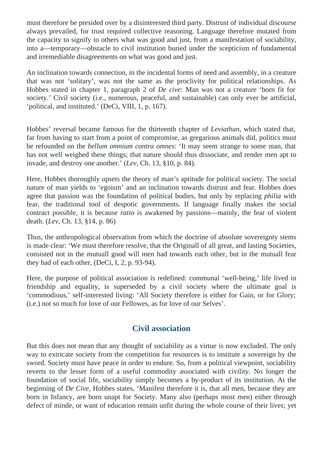must therefore be presided over by a disinterested third party. Distrust of individual discourse always prevailed, for trust required collective reasoning. Language therefore mutated from the capacity to signify to others what was good and just, from a manifestation of sociability, into a—temporary—obstacle to civil institution buried under the scepticism of fundamental and irremediable disagreements on what was good and just.

An inclination towards connection, in the incidental forms of need and assembly, in a creature that was not 'solitary', was not the same as the proclivity for political relationships. As Hobbes stated in chapter 1, paragraph 2 of *De cive*: Man was not a creature 'born fit for society.' Civil society (i.e., numerous, peaceful, and sustainable) can only ever be artificial, 'political, and instituted.' (DeCi, VIII, 1, p. 167).

Hobbes' reversal became famous for the thirteenth chapter of *Leviathan*, which stated that, far from having to start from a point of compromise, as gregarious animals did, politics must be refounded on the *bellum omnium contra omnes*: 'It may seem strange to some man, that has not well weighed these things; that nature should thus dissociate, and render men apt to invade, and destroy one another.' (*Lev*, Ch. 13, §10, p. 84).

Here, Hobbes thoroughly upsets the theory of man's aptitude for political society. The social nature of man yields to 'egoism' and an inclination towards distrust and fear. Hobbes does agree that passion was the foundation of political bodies, but only by replacing *philia* with fear, the traditional tool of despotic governments. If language finally makes the social contract possible, it is because *ratio* is awakened by passions—mainly, the fear of violent death. (*Lev*, Ch. 13, §14, p. 86)

Thus, the anthropological observation from which the doctrine of absolute sovereignty stems is made clear: 'We must therefore resolve, that the Originall of all great, and lasting Societies, consisted not in the mutuall good will men had towards each other, but in the mutuall fear they had of each other, (DeCi, I, 2, p. 93-94).

Here, the purpose of political association is redefined: communal 'well-being,' life lived in friendship and equality, is superseded by a civil society where the ultimate goal is 'commodious,' self-interested living: 'All Society therefore is either for Gain, or for Glory; (i.e.) not so much for love of our Fellowes, as for love of our Selves'.

#### **Civil association**

But this does not mean that any thought of sociability as a virtue is now excluded. The only way to extricate society from the competition for resources is to institute a sovereign by the sword. Society must have peace in order to endure. So, from a political viewpoint, sociability reverts to the lesser form of a useful commodity associated with civility. No longer the foundation of social life, sociability simply becomes a by-product of its institution. At the beginning of *De Cive*, Hobbes states, 'Manifest therefore it is, that all men, because they are born in Infancy, are born unapt for Society. Many also (perhaps most men) either through defect of minde, or want of education remain unfit during the whole course of their lives; yet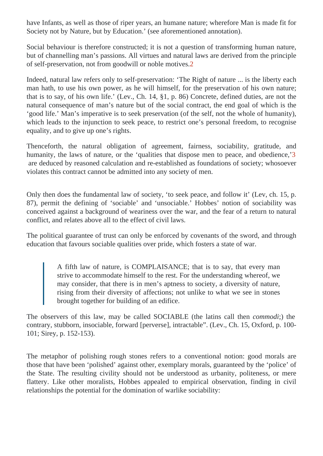have Infants, as well as those of riper years, an humane nature; wherefore Man is made fit for Society not by Nature, but by Educationse aforementioned annotation).

Social behaviour is therefore constructed; it is not a question of transforming human nature, but of channelling man's passions. All virtues and natural laws are derived from the principle of self-preservation, not from goodwill or noble motives.

Indeed, natural law refers only to self-preservation: 'The Right of nature ... is the liberty each man hath, to use his own power, as he will himself, for the preservation of his own nature; that is to say, of his own life.' (Lev., Ch. 14, §1, p. 86) Concrete, defined duties, are not the natural consequence of man's nature but of the social contract, the end goal of which is the 'good life.' Man's imperative is to seek preservation (of the self, not the whole of humanity), which leads to the injunction to seek peace, to restrict one's personal freedom, to recognise equality, and to give up one's rights.

Thenceforth, the natural obligation of agreement, fairness, sociability, gratitude, and humanity, the laws of nature, or the 'qualities that dispose men to peace, and obedience,' are deduced by reasoned calculation and re-established as foundations of society; whosoev violates this contract cannot be admitted into any society of men.

Only then does the fundamental law of society, 'to seek peace, and follow it' (Lev, ch. 15, p. 87), permit the defining of 'sociable' and 'unsociable.' Hobbes' notion of sociability was conceived against a background of weariness over the war, and the fear of a return to natural conflict, and relates above all to the effect of civil laws.

The political guarantee of trust can only be enforced by covenants of the sword, and through education that favours sociable qualities over pride, which fosters a state of war.

A fifth law of nature, is COMPLAISANCE; that is to say, that every man strive to accommodate himself to the rest. For the understanding whereof, we may consider, that there is in men's aptness to society, a diversity of nature, rising from their diversity of affections; not unlike to what we see in stones brought together for building of an edifice.

The observers of this law, may be called SOCIABLE (the latins call **chermodi**) the contrary, stubborn, insociable, forward [perverse], intractable". (Lev., Ch. 15, Oxford, p. 100- 101; Sirey, p. 152-153).

The metaphor of polishing rough stones refers to a conventional notion: good morals are those that have been 'polished' against other, exemplary morals, guaranteed by the 'police' of the State. The resulting civility should not be understood as urbanity, politeness, or mere flattery. Like other moralists, Hobbes appealed to empirical observation, finding in civil relationships the potential for the domination of warlike sociability: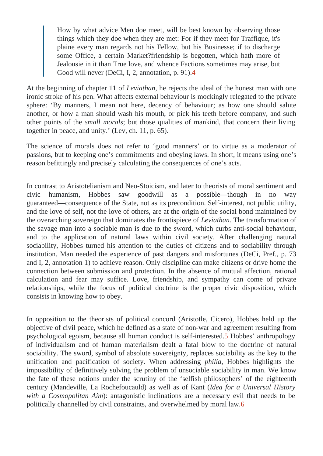How by what advice Men doe meet, will be best known by observing those things which they doe when they are met: For if they meet for Traffique, it's plaine every man regards not his Fellow, but his Businesse; if to discharge some Office, a certain Market?friendship is begotten, which hath more of Jealousie in it than True love, and whence Factions sometimes may arise, but Good will never (DeCi, I, 2, annotation, p. 941).

At the beginning of chapter 11 beviathan he rejects the ideal of the honest man with one ironic stroke of his pen. What affects external behaviour is mockingly relegated to the private sphere: 'By manners, I mean not here, decency of behaviour; as how one should salute another, or how a man should wash his mouth, or pick his teeth before company, and such other points of the small morals but those qualities of mankind, that concern their living together in peace, and unity.' (Lev, ch. 11, p. 65).

The science of morals does not refer to 'good manners' or to virtue as a moderator of passions, but to keeping one's commitments and obeying laws. In short, it means using one's reason befittingly and precisely calculating the consequences of one's acts.

In contrast to Aristotelianism and Neo-Stoicism, and later to theorists of moral sentiment and civic humanism, Hobbes saw goodwill as a possible—though in no way guaranteed—consequence of the State, not as its precondition. Self-interest, not public utility, and the love of self, not the love of others, are at the origin of the social bond maintained by the overarching sovereign that dominates the frontispiece of than. The transformation of the savage man into a sociable man is due to the sword, which curbs anti-social behaviour, and to the application of natural laws within civil society. After challenging natural sociability, Hobbes turned his attention to the duties of citizens and to sociability through institution. Man needed the experience of past dangers and misfortunes (DeCi, Pref., p. 73 and I, 2, annotation 1) to achieve reason. Only discipline can make citizens or drive home the connection between submission and protection. In the absence of mutual affection, rational calculation and fear may suffice. Love, friendship, and sympathy can come of private relationships, while the focus of political doctrine is the proper civic disposition, which consists in knowing how to obey.

In opposition to the theorists of political concord (Aristotle, Cicero), Hobbes held up the objective of civil peace, which he defined as a state of non-war and agreement resulting from psychological egoism, because all human conduct is self-interested bes' anthropology of individualism and of human materialism dealt a fatal blow to the doctrine of natural sociability. The sword, symbol of absolute sovereignty, replaces sociability as the key to the unification and pacification of society. When addressing ia, Hobbes highlights the impossibility of definitively solving the problem of unsociable sociability in man. We know the fate of these notions under the scrutiny of the 'selfish philosophers' of the eighteenth century (Mandeville, La Rochefoucauld) as well as of Kantea for a Universal History with a Cosmopolitan Aim antagonistic inclinations are a necessary evil that needs to be politically channelled by civil constraints, and overwhelmed by morablaw.